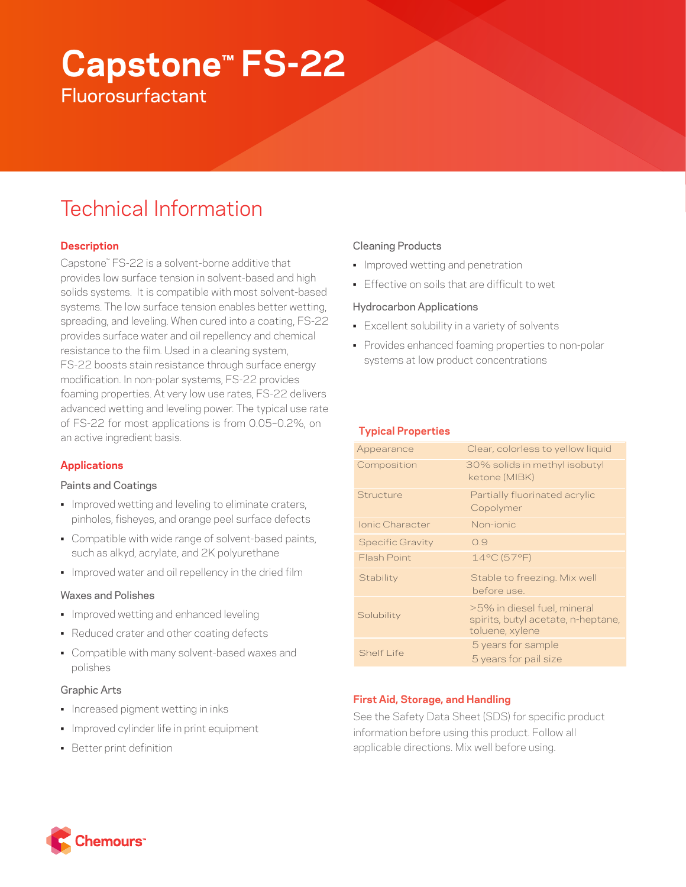# **Capstone™ FS-22 Fluorosurfactant**

## Technical Information

## **Description**

Capstone™ FS-22 is a solvent-borne additive that provides low surface tension in solvent-based and high solids systems. It is compatible with most solvent-based systems. The low surface tension enables better wetting, spreading, and leveling. When cured into a coating, FS-22 provides surface water and oil repellency and chemical resistance to the film. Used in a cleaning system, FS-22 boosts stain resistance through surface energy modification. In non-polar systems, FS-22 provides foaming properties. At very low use rates, FS-22 delivers advanced wetting and leveling power. The typical use rate of FS-22 for most applications is from 0.05–0.2%, on an active ingredient basis.

## **Applications**

## Paints and Coatings

- Improved wetting and leveling to eliminate craters, pinholes, fisheyes, and orange peel surface defects
- Compatible with wide range of solvent-based paints, such as alkyd, acrylate, and 2K polyurethane
- Improved water and oil repellency in the dried film

## Waxes and Polishes

- Improved wetting and enhanced leveling
- Reduced crater and other coating defects
- Compatible with many solvent-based waxes and polishes

## Graphic Arts

- Increased pigment wetting in inks
- Improved cylinder life in print equipment
- Better print definition

## Cleaning Products

- Improved wetting and penetration
- Effective on soils that are difficult to wet

## Hydrocarbon Applications

- Excellent solubility in a variety of solvents
- Provides enhanced foaming properties to non-polar systems at low product concentrations

## **Typical Properties**

| Appearance              | Clear, colorless to yellow liquid                                                    |
|-------------------------|--------------------------------------------------------------------------------------|
| Composition             | 30% solids in methyl isobutyl<br>ketone (MIBK)                                       |
| Structure               | Partially fluorinated acrylic<br>Copolymer                                           |
| Ionic Character         | Non-jonic                                                                            |
| <b>Specific Gravity</b> | 0.9                                                                                  |
| Flash Point             | 14°C (57°F)                                                                          |
| Stability               | Stable to freezing. Mix well<br>before use.                                          |
| Solubility              | >5% in diesel fuel, mineral<br>spirits, butyl acetate, n-heptane,<br>toluene, xylene |
| Shelf I ife             | 5 years for sample<br>5 years for pail size                                          |

## **First Aid, Storage, and Handling**

See the Safety Data Sheet (SDS) for specific product information before using this product. Follow all applicable directions. Mix well before using.